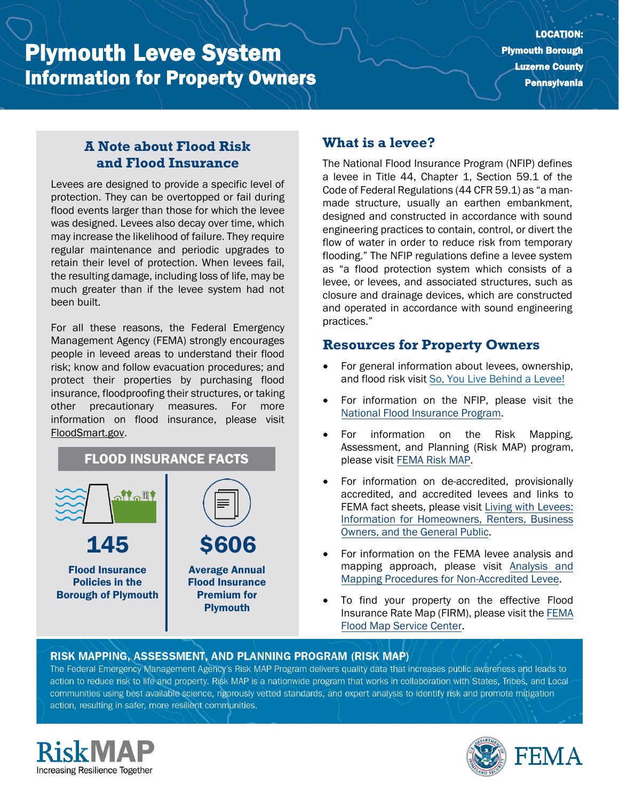# Plymouth Levee System Information for Property Owners

### **A Note about Flood Risk and Flood Insurance**

Levees are designed to provide a specific level of protection. They can be overtopped or fail during flood events larger than those for which the levee was designed. Levees also decay over time, which may increase the likelihood of failure. They require regular maintenance and periodic upgrades to retain their level of protection. When levees fail, the resulting damage, including loss of life, may be much greater than if the levee system had not been built.

For all these reasons, the Federal Emergency Management Agency (FEMA) strongly encourages people in leveed areas to understand their flood risk; know and follow evacuation procedures; and protect their properties by purchasing flood insurance, floodproofing their structures, or taking other precautionary measures. For more information on flood insurance, please visit [FloodSmart.gov.](https://www.floodsmart.gov/)



## **What is a levee?**

The National Flood Insurance Program (NFIP) defines a levee in Title 44, Chapter 1, Section 59.1 of the Code of Federal Regulations (44 CFR 59.1) as "a manmade structure, usually an earthen embankment, designed and constructed in accordance with sound engineering practices to contain, control, or divert the flow of water in order to reduce risk from temporary flooding." The NFIP regulations define a levee system as "a flood protection system which consists of a levee, or levees, and associated structures, such as closure and drainage devices, which are constructed and operated in accordance with sound engineering practices."

#### **Resources for Property Owners**

- For general information about levees, ownership, and flood risk visit [So, You Live Behind a Levee!](https://ascelibrary.org/doi/book/10.1061/9780784410837)
- For information on th[e](https://www.fema.gov/national-flood-insurance-program) NFIP, please visit the [National Flood Insurance Program.](https://www.fema.gov/national-flood-insurance-program)
- For information on the Risk Mapping, Assessment, and Planning (Risk MAP) program, please visit [FEMA Risk MAP.](https://www.fema.gov/flood-maps/tools-resources/risk-map)
- For information on de-accredited, provisionally accredited, and accredited levees and links to FEMA fact sheets, please visit [Living with Levees:](https://www.fema.gov/flood-maps/living-levees) [Information for Homeowners, Renters, Business](https://www.fema.gov/flood-maps/living-levees) [Owners, and the General Public.](https://www.fema.gov/flood-maps/living-levees)
- For information on the FEMA levee analysis and mapping approach, please visit [Analysis and](https://www.fema.gov/media-library-data/20130726-1922-25045-4455/20130703_approachdocument_508.pdf) [Mapping Procedures for Non-Accredited Levee.](https://www.fema.gov/media-library-data/20130726-1922-25045-4455/20130703_approachdocument_508.pdf)
- To find your property on the effective Flood Insurance Rate Map (FIRM), please visit th[e FEMA](https://msc.fema.gov/portal/) [Flood Map Service Center.](https://msc.fema.gov/portal/)

#### RISK MAPPING, ASSESSMENT, AND PLANNING PROGRAM (RISK MAP)

The Federal Emergency Management Agency's Risk MAP Program delivers quality data that increases public awareness and leads to action to reduce risk to life and property. Risk MAP is a nationwide program that works in collaboration with States, Tribes, and Localcommunities using best available science, rigorously vetted standards, and expert analysis to identify risk and promote mitigation action, resulting in safer, more resilient communities.